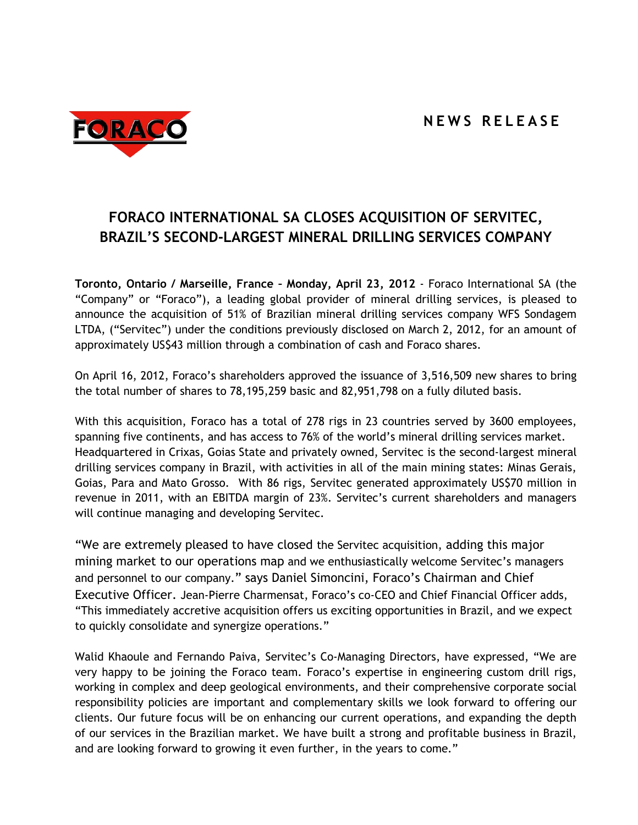

## **FORACO INTERNATIONAL SA CLOSES ACQUISITION OF SERVITEC, BRAZIL'S SECOND-LARGEST MINERAL DRILLING SERVICES COMPANY**

**Toronto, Ontario / Marseille, France – Monday, April 23, 2012** - Foraco International SA (the "Company" or "Foraco"), a leading global provider of mineral drilling services, is pleased to announce the acquisition of 51% of Brazilian mineral drilling services company WFS Sondagem LTDA, ("Servitec") under the conditions previously disclosed on March 2, 2012, for an amount of approximately US\$43 million through a combination of cash and Foraco shares.

On April 16, 2012, Foraco's shareholders approved the issuance of 3,516,509 new shares to bring the total number of shares to 78,195,259 basic and 82,951,798 on a fully diluted basis.

With this acquisition, Foraco has a total of 278 rigs in 23 countries served by 3600 employees, spanning five continents, and has access to 76% of the world's mineral drilling services market. Headquartered in Crixas, Goias State and privately owned, Servitec is the second-largest mineral drilling services company in Brazil, with activities in all of the main mining states: Minas Gerais, Goias, Para and Mato Grosso. With 86 rigs, Servitec generated approximately US\$70 million in revenue in 2011, with an EBITDA margin of 23%. Servitec's current shareholders and managers will continue managing and developing Servitec.

"We are extremely pleased to have closed the Servitec acquisition, adding this major mining market to our operations map and we enthusiastically welcome Servitec's managers and personnel to our company." says Daniel Simoncini, Foraco's Chairman and Chief Executive Officer. Jean-Pierre Charmensat, Foraco's co-CEO and Chief Financial Officer adds, "This immediately accretive acquisition offers us exciting opportunities in Brazil, and we expect to quickly consolidate and synergize operations."

Walid Khaoule and Fernando Paiva, Servitec's Co-Managing Directors, have expressed, "We are very happy to be joining the Foraco team. Foraco's expertise in engineering custom drill rigs, working in complex and deep geological environments, and their comprehensive corporate social responsibility policies are important and complementary skills we look forward to offering our clients. Our future focus will be on enhancing our current operations, and expanding the depth of our services in the Brazilian market. We have built a strong and profitable business in Brazil, and are looking forward to growing it even further, in the years to come."